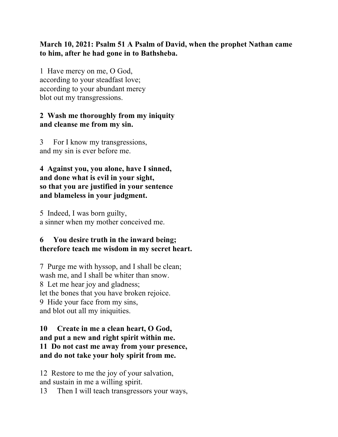## **March 10, 2021: Psalm 51 A Psalm of David, when the prophet Nathan came to him, after he had gone in to Bathsheba.**

1 Have mercy on me, O God, according to your steadfast love; according to your abundant mercy blot out my transgressions.

## **2 Wash me thoroughly from my iniquity and cleanse me from my sin.**

3 For I know my transgressions, and my sin is ever before me.

**4 Against you, you alone, have I sinned, and done what is evil in your sight, so that you are justified in your sentence and blameless in your judgment.** 

5 Indeed, I was born guilty, a sinner when my mother conceived me.

## **6 You desire truth in the inward being; therefore teach me wisdom in my secret heart.**

7 Purge me with hyssop, and I shall be clean; wash me, and I shall be whiter than snow. 8 Let me hear joy and gladness; let the bones that you have broken rejoice. 9 Hide your face from my sins, and blot out all my iniquities.

#### **10 Create in me a clean heart, O God, and put a new and right spirit within me. 11 Do not cast me away from your presence, and do not take your holy spirit from me.**

12 Restore to me the joy of your salvation, and sustain in me a willing spirit.

13 Then I will teach transgressors your ways,